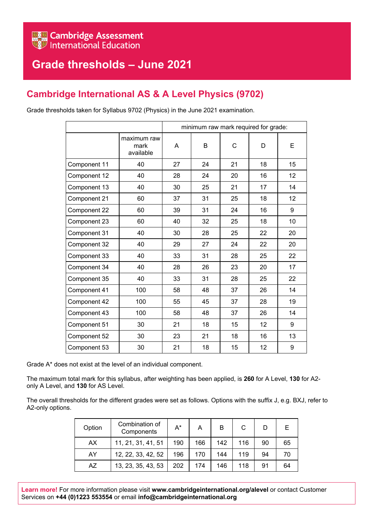## **Grade thresholds – June 2021**

## **Cambridge International AS & A Level Physics (9702)**

Grade thresholds taken for Syllabus 9702 (Physics) in the June 2021 examination.

|              | minimum raw mark required for grade: |    |    |    |    |    |
|--------------|--------------------------------------|----|----|----|----|----|
|              | maximum raw<br>mark<br>available     | A  | B  | C  | D  | Е  |
| Component 11 | 40                                   | 27 | 24 | 21 | 18 | 15 |
| Component 12 | 40                                   | 28 | 24 | 20 | 16 | 12 |
| Component 13 | 40                                   | 30 | 25 | 21 | 17 | 14 |
| Component 21 | 60                                   | 37 | 31 | 25 | 18 | 12 |
| Component 22 | 60                                   | 39 | 31 | 24 | 16 | 9  |
| Component 23 | 60                                   | 40 | 32 | 25 | 18 | 10 |
| Component 31 | 40                                   | 30 | 28 | 25 | 22 | 20 |
| Component 32 | 40                                   | 29 | 27 | 24 | 22 | 20 |
| Component 33 | 40                                   | 33 | 31 | 28 | 25 | 22 |
| Component 34 | 40                                   | 28 | 26 | 23 | 20 | 17 |
| Component 35 | 40                                   | 33 | 31 | 28 | 25 | 22 |
| Component 41 | 100                                  | 58 | 48 | 37 | 26 | 14 |
| Component 42 | 100                                  | 55 | 45 | 37 | 28 | 19 |
| Component 43 | 100                                  | 58 | 48 | 37 | 26 | 14 |
| Component 51 | 30                                   | 21 | 18 | 15 | 12 | 9  |
| Component 52 | 30                                   | 23 | 21 | 18 | 16 | 13 |
| Component 53 | 30                                   | 21 | 18 | 15 | 12 | 9  |

Grade A\* does not exist at the level of an individual component.

The maximum total mark for this syllabus, after weighting has been applied, is **260** for A Level, **130** for A2 only A Level, and **130** for AS Level.

The overall thresholds for the different grades were set as follows. Options with the suffix J, e.g. BXJ, refer to A2-only options.

| Option | Combination of<br>Components | $A^*$ | А   | в   | C   |    |    |
|--------|------------------------------|-------|-----|-----|-----|----|----|
| АX     | 11, 21, 31, 41, 51           | 190   | 166 | 142 | 116 | 90 | 65 |
| AY     | 12, 22, 33, 42, 52           | 196   | 170 | 144 | 119 | 94 | 70 |
| AZ     | 13, 23, 35, 43, 53           | 202   | 174 | 146 | 118 | 91 | 64 |

**Learn more!** For more information please visit **www.cambridgeinternational.org/alevel** or contact Customer Services on **+44 (0)1223 553554** or email **info@cambridgeinternational.org**